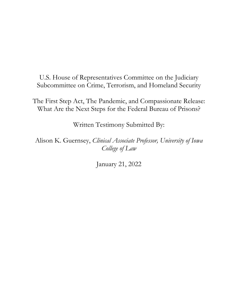U.S. House of Representatives Committee on the Judiciary Subcommittee on Crime, Terrorism, and Homeland Security

The First Step Act, The Pandemic, and Compassionate Release: What Are the Next Steps for the Federal Bureau of Prisons?

Written Testimony Submitted By:

Alison K. Guernsey, *Clinical Associate Professor, University of Iowa College of Law*

January 21, 2022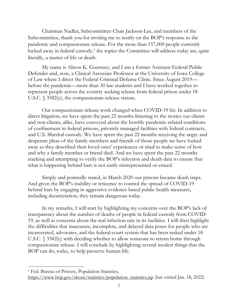Chairman Nadler, Subcommittee Chair Jackson-Lee, and members of the Subcommittee, thank you for inviting me to testify on the BOP's response to the pandemic and compassionate release. For the more than 157,000 people currently locked away in federal custody,<sup>[1](#page-1-0)</sup> the topics the Committee will address today are, quite literally, a matter of life or death.

My name is Alison K. Guernsey, and I am a former Assistant Federal Public Defender and, now, a Clinical Associate Professor at the University of Iowa College of Law where I direct the Federal Criminal Defense Clinic. Since August 2019 before the pandemic—more than 30 law students and I have worked together to represent people across the country seeking release from federal prison under 18 U.S.C. § 3582(c), the compassionate-release statute.

Our compassionate-release work changed when COVID-19 hit. In addition to direct litigation, we have spent the past 22 months listening to the stories our clients and non-clients, alike, have conveyed about the horrific pandemic-related conditions of confinement in federal prisons, privately managed facilities with federal contracts, and U.S. Marshal custody. We have spent the past 22 months receiving the angry and desperate pleas of the family members and friends of those people we have locked away as they described their loved ones' experiences or tried to make sense of how and why a family member or friend died. And we have spent the past 22 months tracking and attempting to verify the BOP's infection and death data to ensure that what is happening behind bars is not easily misrepresented or erased.

Simply and pointedly stated, in March 2020 our prisons became death traps. And given the BOP's inability or reticence to control the spread of COVID-19 behind bars by engaging in aggressive evidence-based public-health measures, including decarceration, they remain dangerous today.

In my remarks, I will start by highlighting my concerns over the BOP's lack of transparency about the number of deaths of people in federal custody from COVID-19, as well as concerns about the real infection rate in its facilities. I will then highlight the difficulties that inaccurate, incomplete, and delayed data poses for people who are incarcerated, advocates, and the federal-court system that has been tasked under 18 U.S.C. § 3582(c) with deciding whether to allow someone to return home through compassionate release. I will conclude by highlighting several modest things that the BOP can do, today, to help preserve human life.

<span id="page-1-0"></span><sup>1</sup> Fed. Bureau of Prisons, Population Statistics, [https://www.bop.gov/about/statistics/population\\_statistics.jsp](https://www.bop.gov/about/statistics/population_statistics.jsp) (last visited Jan. 18, 2022)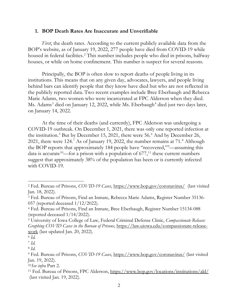## **1. BOP Death Rates Are Inaccurate and Unverifiable**

*First*, the death rates. According to the current publicly available data from the BOP's website, as of January 19, 2022, 277 people have died from COVID-19 while housed in federal facilities.<sup>[2](#page-2-0)</sup> This number includes people who died in prisons, halfway houses, or while on home confinement. This number is suspect for several reasons.

Principally, the BOP is often slow to report deaths of people living in its institutions. This means that on any given day, advocates, lawyers, and people living behind bars can identify people that they know have died but who are not reflected in the publicly reported data. Two recent examples include Bree Eberbaugh and Rebecca Marie Adams, two women who were incarcerated at FPC Alderson when they died. Ms. Adams<sup>[3](#page-2-1)</sup> died on January 12, 2022, while Ms. Eberbaugh<sup>[4](#page-2-2)</sup> died just two days later, on January 14, 2022.

At the time of their deaths (and currently), FPC Alderson was undergoing a COVID-19 outbreak. On December 1, 2021, there was only one reported infection at the institution.<sup>[5](#page-2-3)</sup> But by December 15, 2021, there were 5[6](#page-2-4).<sup>6</sup> And by December 26, 2021, there were 124.<sup>[7](#page-2-5)</sup> As of January 19, 2022, the number remains at 71.<sup>[8](#page-2-6)</sup> Although the BOP reports that approximately 184 people have "recovered,"[9](#page-2-7) —assuming this data is accurate<sup>10</sup>—for a prison with a population of  $677$ ,<sup>[11](#page-2-9)</sup> these current numbers suggest that approximately 38% of the population has been or is currently infected with COVID-19.

<span id="page-2-0"></span><sup>2</sup> Fed. Bureau of Prisons, *COVID-19 Cases*,<https://www.bop.gov/coronavirus/>(last visited Jan. 18, 2022).

<span id="page-2-1"></span><sup>3</sup> Fed. Bureau of Prisons, Find an Inmate, Rebecca Marie Adams, Register Number 35136- 057 (reported deceased 1/12/2022).

<span id="page-2-2"></span><sup>4</sup> Fed. Bureau of Prisons, Find an Inmate, Bree Eberbaugh, Register Number 15134-088 (reported deceased 1/14/2022).

<span id="page-2-3"></span><sup>5</sup> University of Iowa College of Law, Federal Criminal Defense Clinic, *Compassionate Release: Graphing COVID Cases in the Bureau of Prisons*, [https://law.uiowa.edu/compassionate-release](https://law.uiowa.edu/compassionate-release-work)[work](https://law.uiowa.edu/compassionate-release-work) (last updated Jan. 20, 2022).

<span id="page-2-4"></span><sup>6</sup> *Id.*

<span id="page-2-5"></span><sup>7</sup> *Id.*

<span id="page-2-6"></span><sup>8</sup> *Id.*

<span id="page-2-7"></span><sup>9</sup> Fed. Bureau of Prisons, *COVID-19 Cases*,<https://www.bop.gov/coronavirus/> (last visited Jan. 19, 2022).

<span id="page-2-8"></span><sup>10</sup>*See infra* Part 2.

<span id="page-2-9"></span><sup>11</sup> Fed. Bureau of Prisons, FPC Alderson,<https://www.bop.gov/locations/institutions/ald/> (last visited Jan. 19, 2022).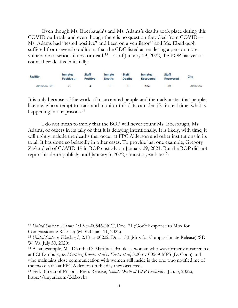Even though Ms. Eberbaugh's and Ms. Adams's deaths took place during this COVID outbreak, and even though there is no question they died from COVID— Ms. Adams had "tested positive" and been on a ventilator $12$  and Ms. Eberbaugh suffered from several conditions that the CDC listed as rendering a person more vulnerable to serious illness or death<sup>13</sup>—as of January 19, 2022, the BOP has yet to count their deaths in its tally:

| <b>Facility</b> | Inmates<br>Positive - | Staff<br><b>Positive</b> | Inmate<br><b>Deaths</b> | <b>Staff</b><br>Deaths | Inmates<br>Recovered |    | City     |  |
|-----------------|-----------------------|--------------------------|-------------------------|------------------------|----------------------|----|----------|--|
| Alderson FPC    |                       |                          |                         |                        | 184                  | 39 | Alderson |  |

It is only because of the work of incarcerated people and their advocates that people, like me, who attempt to track and monitor this data can identify, in real time, what is happening in our prisons. [14](#page-3-2)

I do not mean to imply that the BOP will never count Ms. Eberbaugh, Ms. Adams, or others in its tally or that it is delaying intentionally. It is likely, with time, it will rightly include the deaths that occur at FPC Alderson and other institutions in its total. It has done so belatedly in other cases. To provide just one example, Gregory Ziglar died of COVID-19 in BOP custody on January 29, 2021. But the BOP did not report his death publicly until January 3, 2022, almost a year later<sup>[15](#page-3-3)</sup>:

<span id="page-3-0"></span><sup>12</sup> *United States v. Adams*, 1:19-cr-00546-NCT, Doc. 71 (Gov't Response to Mox for Compassionate Release) (MDNC Jan. 11, 2022).

<span id="page-3-1"></span><sup>13</sup> *United States v. Eberbaugh*, 2:18-cr-00222, Doc. 130 (Mox for Compassionate Release) (SD W. Va. July 30, 2020).

<span id="page-3-2"></span><sup>14</sup> As an example, Ms. Dianthe D. Martinez-Brooks, a woman who was formerly incarcerated at FCI Danbury, *see Martinez-Brooks et al v. Easter et al*, 3:20-cv-00569-MPS (D. Conn) and who maintains close communication with women still inside is the one who notified me of the two deaths at FPC Alderson on the day they occurred.

<span id="page-3-3"></span><sup>15</sup> Fed. Bureau of Prisons, Press Release, *Inmate Death at USP Lewisburg* (Jan. 3, 2022), [https://tinyurl.com/2ddxsvba.](https://tinyurl.com/2ddxsvba)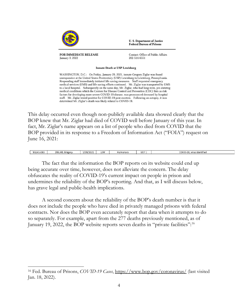

FOR IMMEDIATE RELEASE **January 3, 2022** 

Contact: Office of Public Affairs 202-514-6551

**U.S. Department of Justice Federal Bureau of Prisons** 

**Inmate Death at USP Lewisburg** 

WASHINGTON, D.C.: On Friday, January 29, 2021, inmate Gregory Ziglar was found unresponsive at the United States Penitentiary (USP) Lewisburg in Lewisburg, Pennsylvania. Responding staff immediately initiated life-saving measures. Staff requested emergency medical services (EMS) and life-saving efforts continued. Mr. Ziglar was transported by EMS to a local hospital. Subsequently on the same day, Mr. Ziglar, who had long-term, pre-existing medical conditions which the Centers for Disease Control and Prevention (CDC) lists as risk factors for developing more severe COVID-19 disease, was pronounced deceased by hospital staff. Mr. Ziglar tested positive for COVID-19 post-mortem. Following an autopsy, it was determined Mr. Ziglar's death was likely related to COVID-19.

This delay occurred even though non-publicly available data showed clearly that the BOP knew that Mr. Ziglar had died of COVID well before January of this year. In fact, Mr. Ziglar's name appears on a list of people who died from COVID that the BOP provided in its response to a Freedom of Information Act ("FOIA") request on June 16, 2021:

| 93241-083 | <b>ZIGLA</b><br>R. Gregory | 72021<br><b>CONTRACTOR</b> | LEW | Pulmonary | U07. | COVID-7<br>10<br>. virus identified |
|-----------|----------------------------|----------------------------|-----|-----------|------|-------------------------------------|
|           |                            |                            |     |           |      |                                     |

The fact that the information the BOP reports on its website could end up being accurate over time, however, does not alleviate the concern. The delay obfuscates the reality of COVID-19's current impact on people in prison and undermines the reliability of the BOP's reporting. And that, as I will discuss below, has grave legal and public-health implications.

A second concern about the reliability of the BOP's death number is that it does not include the people who have died in privately managed prisons with federal contracts. Nor does the BOP even accurately report that data when it attempts to do so separately. For example, apart from the 277 deaths previously mentioned, as of January 19, 2022, the BOP website reports seven deaths in "private facilities":[16](#page-4-0)

<span id="page-4-0"></span><sup>16</sup> Fed. Bureau of Prisons, *COVID-19 Cases*,<https://www.bop.gov/coronavirus/> (last visited Jan. 18, 2022).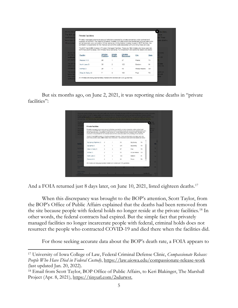| The BOP sta<br><b>Private Facilities</b><br>confirmed <b>p</b>                                                                                                                                                                                                                                                                                                                                                                                                                                                                                                              |                      |                         |                                                                              |              |              | have:<br>d. There               |
|-----------------------------------------------------------------------------------------------------------------------------------------------------------------------------------------------------------------------------------------------------------------------------------------------------------------------------------------------------------------------------------------------------------------------------------------------------------------------------------------------------------------------------------------------------------------------------|----------------------|-------------------------|------------------------------------------------------------------------------|--------------|--------------|---------------------------------|
| Privately-managed prisons are secure institutions operated by private companies under contract and<br>have been 2<br>oversight of the BOP. The majority of federal inmates in private prisons are sentenced criminal aliens who<br>will be deported upon completion of their sentence. Unlike federal inmates housed in BOP facilities, the<br>11 occurred<br>contractor is responsible for the medical care and the costs associated with providing those services.<br>The BOP has 6,358 inmates in Privately-Managed Facilities. There are 152 inmates who have open lab- |                      |                         |                                                                              |              |              | ate deaths.                     |
| confirmed positive cases. 303 inmates have recovered. Full breakdown and additional details are below:                                                                                                                                                                                                                                                                                                                                                                                                                                                                      |                      |                         |                                                                              |              |              |                                 |
| Due to the<br>and the ru<br>Facility<br>confirmed                                                                                                                                                                                                                                                                                                                                                                                                                                                                                                                           | Inmates<br>Positive- | Inmate<br><b>Deaths</b> | Inmates<br>Recovered                                                         | <b>City</b>  | <b>State</b> | coveries.<br><b>ELECTOR</b>     |
| Reeves III CI                                                                                                                                                                                                                                                                                                                                                                                                                                                                                                                                                               | 85                   |                         | 37                                                                           | Pecos        | <b>TX</b>    |                                 |
| North Lake CI                                                                                                                                                                                                                                                                                                                                                                                                                                                                                                                                                               | 35                   | $\overline{2}$          | 123                                                                          | Baldwin      | MI           | <b>Information</b><br>n for the |
| McRae CI                                                                                                                                                                                                                                                                                                                                                                                                                                                                                                                                                                    | 25                   | $\ddot{\phantom{a}}$    | 43                                                                           | Morae Helena | GA           |                                 |
| Giles W. Dalby Cl                                                                                                                                                                                                                                                                                                                                                                                                                                                                                                                                                           | $\overline{\tau}$    | 3                       | 100                                                                          | Post         | <b>TX</b>    | <b>JSPQ.or</b><br>on unit       |
| being held<br>that is on                                                                                                                                                                                                                                                                                                                                                                                                                                                                                                                                                    |                      |                         | All inmates are being appropriately treated and isolated per CDC quidelines. |              |              | ome                             |

But six months ago, on June 2, 2021, it was reporting nine deaths in "private facilities":

|                                                     |                                                                                                                                                                                                                                                                                                                                                                                                                                                                                                                                                                                                                                                       |         |                |     | The BOP has becum additional testing of asymptomatic immates to assist in slowing transmissions within a correctional setting. As sure |           | ir data                 | for the    |
|-----------------------------------------------------|-------------------------------------------------------------------------------------------------------------------------------------------------------------------------------------------------------------------------------------------------------------------------------------------------------------------------------------------------------------------------------------------------------------------------------------------------------------------------------------------------------------------------------------------------------------------------------------------------------------------------------------------------------|---------|----------------|-----|----------------------------------------------------------------------------------------------------------------------------------------|-----------|-------------------------|------------|
| managem                                             | <b>Private Facilities</b>                                                                                                                                                                                                                                                                                                                                                                                                                                                                                                                                                                                                                             |         |                |     |                                                                                                                                        |           |                         |            |
| The inmat<br>being hold<br>that is phy<br>confineme | Privately-managed prisons are secure institutions operated by private companies under contract and<br>oversight of the BOP. The majority of federal inmates in private prisons are sentenced criminal aliens who<br>will be deported upon completion of their sentence. Unlike federal inmates housed in BOP facilities, the<br>contractor is responsible for the medical care and the costs associated with providing those services.<br>The BOP has 9,097 inmates in Privately-Managed Facilities. There are 0 inmates who have open lab-<br>confirmed positive cases. 848 inmates have recovered. Full breakdown and additional details are below: |         |                |     |                                                                                                                                        |           | SPO, or<br>n unit<br>me |            |
| <b>Facility</b>                                     | Big Spring (Flightline) CI                                                                                                                                                                                                                                                                                                                                                                                                                                                                                                                                                                                                                            | $\circ$ | 1              | 33  | <b>Big Spring</b>                                                                                                                      | <b>TX</b> |                         | <b>Sta</b> |
|                                                     | Big Spring CI                                                                                                                                                                                                                                                                                                                                                                                                                                                                                                                                                                                                                                         | $\circ$ | 1              | 531 | <b>Big Spring</b>                                                                                                                      | <b>TX</b> |                         |            |
| <b>Big Spring</b>                                   | Giles W. Dalby CI                                                                                                                                                                                                                                                                                                                                                                                                                                                                                                                                                                                                                                     | $\circ$ | 3              | 97  | Post                                                                                                                                   | TX        |                         | <b>TX</b>  |
| <b>Carswell F</b>                                   | McRae CI                                                                                                                                                                                                                                                                                                                                                                                                                                                                                                                                                                                                                                              | $\circ$ | 1              | 32  | Mcrae Helena                                                                                                                           | GA        |                         | <b>TX</b>  |
| Beaumon<br>Low FCI                                  | North Lake CI                                                                                                                                                                                                                                                                                                                                                                                                                                                                                                                                                                                                                                         | $\circ$ | $\overline{2}$ | 123 | Baldwin                                                                                                                                | MI        |                         | TX         |
|                                                     | Reeves III CI                                                                                                                                                                                                                                                                                                                                                                                                                                                                                                                                                                                                                                         | $\circ$ | 1              | 32  | Pecos                                                                                                                                  | <b>TX</b> |                         |            |
|                                                     |                                                                                                                                                                                                                                                                                                                                                                                                                                                                                                                                                                                                                                                       |         |                |     |                                                                                                                                        |           |                         | <b>SC</b>  |
| <b>Bennettsy</b><br>FCI                             | All inmates are being appropriately treated and isolated per CDC guidelines.                                                                                                                                                                                                                                                                                                                                                                                                                                                                                                                                                                          |         |                |     |                                                                                                                                        |           |                         |            |

And a FOIA returned just 8 days later, on June 10, 2021, listed eighteen deaths.<sup>[17](#page-5-0)</sup>

When this discrepancy was brought to the BOP's attention, Scott Taylor, from the BOP's Office of Public Affairs explained that the deaths had been removed from the site because people with federal holds no longer reside at the private facilities.[18](#page-5-1) In other words, the federal contracts had expired. But the simple fact that privately managed facilities no longer incarcerate people with federal, criminal holds does not resurrect the people who contracted COVID-19 and died there when the facilities did.

For those seeking accurate data about the BOP's death rate, a FOIA appears to

<span id="page-5-0"></span><sup>17</sup> University of Iowa College of Law, Federal Criminal Defense Clinic, *Compassionate Release: People Who Have Died in Federal Custody*,<https://law.uiowa.edu/compassionate-release-work> (last updated Jan. 20, 2022).

<span id="page-5-1"></span><sup>18</sup> Email from Scott Taylor, BOP Office of Public Affairs, to Keri Blakinger, The Marshall Project (Apr. 8, 2021), [https://tinyurl.com/2sdurwst.](https://tinyurl.com/2sdurwst)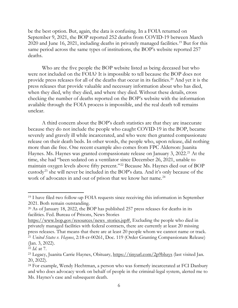be the best option. But, again, the data is confusing. In a FOIA returned on September 9, 2021, the BOP reported 252 deaths from COVID-19 between March 2020 and June 16, 2021, including deaths in privately managed facilities.[19](#page-6-0) But for this same period across the same types of institutions, the BOP's website reported 257 deaths.

Who are the five people the BOP website listed as being deceased but who were not included on the FOIA? It is impossible to tell because the BOP does not provide press releases for all of the deaths that occur in its facilities.[20](#page-6-1) And yet it is the press releases that provide valuable and necessary information about who has died, when they died, why they died, and where they died. Without these details, cross checking the number of deaths reported on the BOP's website with the information available through the FOIA process is impossible, and the real death toll remains unclear.

A third concern about the BOP's death statistics are that they are inaccurate because they do not include the people who caught COVID-19 in the BOP, became severely and gravely ill while incarcerated, and who were then granted compassionate release on their death beds. In other words, the people who, upon release, did nothing more than die free. One recent example also comes from FPC Alderson: Juanita Haynes. Ms. Haynes was granted compassionate release on January 3, 2022.<sup>[21](#page-6-2)</sup> At the time, she had "been sedated on a ventilator since December 26, 2021, unable to maintain oxygen levels above fifty percent."[22](#page-6-3) Because Ms. Haynes died out of BOP custody<sup>[23](#page-6-4)</sup> she will never be included in the BOP's data. And it's only because of the work of advocates in and out of prison that we know her name.<sup>[24](#page-6-5)</sup>

<span id="page-6-0"></span><sup>19</sup> I have filed two follow-up FOIA requests since receiving this information in September 2021. Both remain outstanding.

<span id="page-6-1"></span><sup>20</sup> As of January 18, 2022, the BOP has published 257 press releases for deaths in its facilities. Fed. Bureau of Prisons, News Stories

[https://www.bop.gov/resources/news\\_stories.jsp#.](https://www.bop.gov/resources/news_stories.jsp) Excluding the people who died in privately managed facilities with federal contracts, there are currently at least 20 missing press releases. That means that there are at least 20 people whom we cannot name or track. <sup>21</sup> *United States v. Haynes*, 2:18-cr-00261, Doc. 119 (Order Granting Compassionate Release) (Jan. 3, 2022).

<span id="page-6-3"></span><span id="page-6-2"></span><sup>22</sup> *Id.* at 7.

<span id="page-6-4"></span><sup>&</sup>lt;sup>23</sup> Legacy, Juanita Carrie Haynes, Obituary,<https://tinyurl.com/2p9bbzys> (last visited Jan. 20, 2022).

<span id="page-6-5"></span><sup>24</sup> For example, Wendy Hechtman, a person who was formerly incarcerated at FCI Danbury and who does advocacy work on behalf of people in the criminal-legal system, alerted me to Ms. Haynes's case and subsequent death.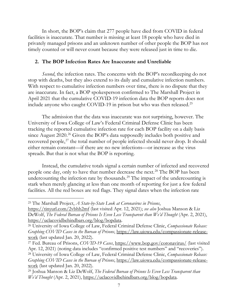In short, the BOP's claim that 277 people have died from COVID in federal facilities is inaccurate. That number is missing at least 18 people who have died in privately managed prisons and an unknown number of other people the BOP has not timely counted or will never count because they were released just in time to die.

## **2. The BOP Infection Rates Are Inaccurate and Unreliable**

*Second*, the infection rates. The concerns with the BOP's recordkeeping do not stop with deaths, but they also extend to its daily and cumulative infection numbers. With respect to cumulative infection numbers over time, there is no dispute that they are inaccurate. In fact, a BOP spokesperson confirmed to The Marshall Project in April 2021 that the cumulative COVID-19 infection data the BOP reports does not include anyone who caught COVID-19 in prison but who was then released. [25](#page-7-0)

The admission that the data was inaccurate was not surprising, however. The University of Iowa College of Law's Federal Criminal Defense Clinic has been tracking the reported cumulative infection rate for each BOP facility on a daily basis since August 2020.<sup>[26](#page-7-1)</sup> Given the BOP's data supposedly includes both positive and recovered people,<sup>[27](#page-7-2)</sup> the total number of people infected should never drop. It should either remain constant—if there are no new infections—or increase as the virus spreads. But that is not what the BOP is reporting.

Instead, the cumulative totals signal a certain number of infected and recovered people one day, only to have that number decrease the next.<sup>[28](#page-7-3)</sup> The BOP has been undercounting the infection rate by thousands.<sup>[29](#page-7-4)</sup> The impact of the undercounting is stark when merely glancing at less than one month of reporting for just a few federal facilities. All the red boxes are red flags. They signal dates when the infection rate

<span id="page-7-0"></span><sup>25</sup> The Marshall Project, *A State-by-State Look at Coronavirus in Prisons*,

<https://tinyurl.com/2vbhh2mf> (last visited Apr. 12, 2021); *see also* Joshua Manson & Liz DeWolf, *The Federal Bureau of Prisons Is Even Less Transparent than We'd Thought* (Apr. 2, 2021), [https://uclacovidbehindbars.org/blog/bopdata.](https://uclacovidbehindbars.org/blog/bopdata)

<span id="page-7-1"></span><sup>26</sup> University of Iowa College of Law, Federal Criminal Defense Clinic, *Compassionate Release: Graphing COVID Cases in the Bureau of Prisons*, [https://law.uiowa.edu/compassionate-release](https://law.uiowa.edu/compassionate-release-work)[work](https://law.uiowa.edu/compassionate-release-work) (last updated Jan. 20, 2022).

<span id="page-7-3"></span><span id="page-7-2"></span><sup>27</sup> Fed. Bureau of Prisons, *COVID-19 Cases*,<https://www.bop.gov/coronavirus/> (last visited Apr. 12, 2021) (noting data includes "confirmed positive test numbers" and "recoveries"). <sup>28</sup> University of Iowa College of Law, Federal Criminal Defense Clinic, *Compassionate Release: Graphing COVID Cases in the Bureau of Prisons*, [https://law.uiowa.edu/compassionate-release](https://law.uiowa.edu/compassionate-release-work)[work](https://law.uiowa.edu/compassionate-release-work) (last updated Jan. 20, 2022).

<span id="page-7-4"></span><sup>29</sup> Joshua Manson & Liz DeWolf, *The Federal Bureau of Prisons Is Even Less Transparent than We'd Thought* (Apr. 2, 2021), [https://uclacovidbehindbars.org/blog/bopdata.](https://uclacovidbehindbars.org/blog/bopdata)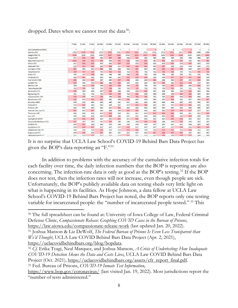dropped. Dates when we cannot trust the data<sup>[30](#page-8-0)</sup>:

|                              | 7-Dec          | 8-Dec          | $9-Dec$        | $10 - Dec$     | $13-Dec$       | $14$ -Dec      | $15-Dec$       | $16-Dec$       | 17-Dec         | 20-Dec | 21-Dec | 22-Dec | $23-Dec$ | 28-Dec | $29-Dec$ | 30-Dec |
|------------------------------|----------------|----------------|----------------|----------------|----------------|----------------|----------------|----------------|----------------|--------|--------|--------|----------|--------|----------|--------|
|                              |                |                |                |                |                |                |                |                |                |        |        |        |          |        |          |        |
| <b>ACS Corrections (RRC)</b> | $\overline{7}$ | $\overline{7}$ | $\overline{7}$ | $\overline{7}$ | $\overline{7}$ | $\overline{7}$ | $\overline{7}$ | $\overline{7}$ | $\overline{7}$ | 6      | 6      | 6      | 6        | 5      | 5        | 5      |
| <b>Fort Dix FCI</b>          | 1725           | 1723           | 1722           | 1722           | 1721           | 1721           | 1717           | 1711           | 1711           | 1713   | 1713   | 1711   | 1711     | 1706   | 1706     | 1706   |
| <b>Seagoville FCI</b>        | 1098           | 1098           | 1098           | 1098           | 1097           | 1096           | 1096           | 1094           | 1093           | 1092   | 1092   | 1090   | 1089     | 1090   | 1090     | 1088   |
| <b>Tuscon USP</b>            | 991            | 990            | 989            | 989            | 987            | 986            | 986            | 985            | 985            | 985    | 985    | 985    | 985      | 986    | 986      | 987    |
| <b>Beaumont Low FCI</b>      | 1008           | 998            | 995            | 994            | 994            | 991            | 988            | 988            | 985            | 985    | 983    | 984    | 983      | 984    | 985      | 983    |
| <b>Elkton FCI</b>            | 831            | 830            | 829            | 829            | 829            | 828            | 825            | 825            | 824            | 825    | 825    | 820    | 820      | 818    | 818      | 819    |
| Carswell FMC                 | 613            | 612            | 609            | 609            | 608            | 611            | 610            | 606            | 605            | 609    | 607    | 608    | 612      | 638    | 649      | 673    |
| Lexington FMC                | 663            | 663            | 665            | 664            | 664            | 664            | 664            | 663            | 663            | 663    | 662    | 660    | 658      | 686    | 689      | 688    |
| <b>Texarkana FCI</b>         | 769            | 767            | 764            | 764            | 763            | 762            | 762            | 761            | 761            | 762    | 761    | 760    | 760      | 761    | 760      | 758    |
| <b>Pekin FCI</b>             | 747            | 747            | 746            | 748            | 748            | 748            | 748            | 747            | 747            | 748    | 749    | 750    | 750      | 751    | 751      | 751    |
| <b>Florence FCI</b>          | 662            | 661            | 661            | 661            | 661            | 661            | 660            | 659            | 658            | 658    | 658    | 657    | 655      | 652    | 648      | 649    |
| Fort Worth FMC               | 688            | 688            | 687            | 687            | 688            | 687            | 686            | 686            | 686            | 684    | 688    | 688    | 687      | 695    | 694      | 696    |
| Loretto FCI                  | 690            | 690            | 690            | 688            | 688            | 684            | 684            | 684            | 684            | 684    | 683    | 685    | 682      | 678    | 679      | 684    |
| <b>Marion USP</b>            | 706            | 706            | 705            | 706            | 705            | 704            | 704            | 700            | 700            | 700    | 700    | 697    | 695      | 696    | 695      | 717    |
| <b>Terre Haute USP</b>       | 735            | 734            | 734            | 735            | 734            | 735            | 735            | 733            | 733            | 733    | 733    | 731    | 731      | 731    | 731      | 731    |
| <b>Greenville FCI</b>        | 696            | 696            | 696            | 697            | 696            | 696            | 696            | 696            | 694            | 695    | 696    | 696    | 696      | 694    | 694      | 694    |
| <b>Big Spring FCI</b>        | 701            | 701            | 702            | 702            | 701            | 700            | 702            | 698            | 698            | 698    | 698    | 698    | 696      | 693    | 694      | 694    |
| Leavenworth USP              | 709            | 707            | 707            | 706            | 706            | 704            | 705            | 704            | 702            | 703    | 703    | 699    | 699      | 698    | 699      | 699    |
| Manchester FCI               | 695            | 695            | 694            | 692            | 692            | 694            | 693            | 693            | 693            | 694    | 695    | 694    | 695      | 697    | 698      | 697    |
| <b>Brooklyn MDC</b>          | 438            | 439            | 440            | 440            | 440            | 441            | 441            | 441            | 441            | 441    | 446    | 464    | 465      | 474    | 545      | 582    |
| Oxford FCI                   | 645            | 643            | 643            | 643            | 644            | 647            | 647            | 645            | 643            | 645    | 645    | 645    | 644      | 643    | 643      | 643    |
| <b>Pollock USP</b>           | 642            | 642            | 642            | 642            | 642            | 641            | 642            | 643            | 643            | 643    | 643    | 643    | 643      | 644    | 645      | 647    |
| Forrest City Low FCI         | 665            | 665            | 663            | 664            | 664            | 664            | 663            | 660            | 661            | 661    | 661    | 659    | 658      | 657    | 657      | 657    |
| <b>Thomson USP</b>           | 610            | 610            | 610            | 611            | 610            | 610            | 611            | 611            | 611            | 610    | 609    | 608    | 609      | 611    | 611      | 610    |
| Lee USP                      | 640            | 640            | 641            | 641            | 640            | 640            | 641            | 641            | 641            | 641    | 641    | 640    | 640      | 639    | 639      | 639    |
| <b>Springfield MCFP</b>      | 625            | 624            | 622            | 622            | 622            | 621            | 621            | 620            | 620            | 621    | 621    | 620    | 619      | 620    | 621      | 621    |
| Victorville Medium I FCI     | 597            | 597            | 597            | 597            | 595            | 596            | 596            | 596            | 595            | 594    | 594    | 594    | 593      | 594    | 597      | 597    |
| <b>Pollock FCI</b>           | 569            | 567            | 568            | 568            | 593            | 596            | 596            | 596            | 596            | 597    | 601    | 601    | 601      | 604    | 605      | 609    |
| Sandstone FCI                | 629            | 628            | 627            | 627            | 627            | 627            | 626            | 627            | 627            | 627    | 627    | 627    | 624      | 624    | 621      | 620    |
| Oklahoma City FTC            | 520            | 520            | 520            | 518            | 519            | 519            | 517            | 516            | 516            | 518    | 517    | 515    | 515      | 514    | 515      | 515    |
| Englewood FCI                | 609            | 608            | 608            | 607            | 607            | 607            | 607            | 607            | 608            | 607    | 606    | 605    | 604      | 605    | 605      | 605    |
| <b>Terminal Island FCI</b>   | 511            | 512            | 511            | 512            | 513            | 513            | 511            | 511            | 511            | 511    | 508    | 509    | 508      | 507    | 508      | 509    |

It is no surprise that UCLA Law School's COVID-19 Behind Bars Data Project has given the BOP's data-reporting an "F."[31](#page-8-1)

In addition to problems with the accuracy of the cumulative infection totals for each facility over time, the daily infection numbers that the BOP is reporting are also concerning. The infection-rate data is only as good as the BOP's testing. [32](#page-8-2) If the BOP does not test, then the infection rates will not increase, even though people are sick. Unfortunately, the BOP's publicly available data on testing sheds very little light on what is happening in its facilities. As Hope Johnson, a data fellow at UCLA Law School's COVID-19 Behind Bars Project has noted, the BOP reports only one testing variable for incarcerated people: the "number of incarcerated people tested." [33](#page-8-3) This

<span id="page-8-0"></span><sup>30</sup> The full spreadsheet can be found at: University of Iowa College of Law, Federal Criminal Defense Clinic, *Compassionate Release: Graphing COVID Cases in the Bureau of Prisons*, <https://law.uiowa.edu/compassionate-release-work> (last updated Jan. 20, 2022).

<span id="page-8-1"></span><sup>31</sup> Joshua Manson & Liz DeWolf, *The Federal Bureau of Prisons Is Even Less Transparent than We'd Thought*, UCLA Law COVID Behind Bars Data Project (Apr. 2, 2021), [https://uclacovidbehindbars.org/blog/bopdata.](https://uclacovidbehindbars.org/blog/bopdata)

<span id="page-8-2"></span><sup>32</sup> *Cf.* Erika Tyagi, Neal Marquez, and Joshua Manson, *A Crisis of Undertesting: How Inadequate COVID-19 Detection Skews the Data and Costs Lives*, UCLA Law COVID Behind Bars Data Project (Oct. 2021), [https://uclacovidbehindbars.org/assets/cfr\\_report\\_final.pdf.](https://uclacovidbehindbars.org/assets/cfr_report_final.pdf) <sup>33</sup> Fed. Bureau of Prisons, *COVID-19 Inmate Test Information*,

<span id="page-8-3"></span><https://www.bop.gov/coronavirus/> (last visited Jan. 19, 2022). Most jurisdictions report the "number of tests administered."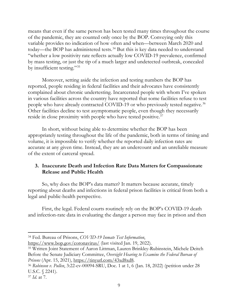means that even if the same person has been tested many times throughout the course of the pandemic, they are counted only once by the BOP. Conveying only this variable provides no indication of how often and when—between March 2020 and today—the BOP has administered tests.<sup>[34](#page-9-0)</sup> But this is key data needed to understand "whether a low positivity rate reflects actually low COVID-19 prevalence, confirmed by mass testing, or just the tip of a much larger and undetected outbreak, concealed by insufficient testing."[35](#page-9-1)

Moreover, setting aside the infection and testing numbers the BOP has reported, people residing in federal facilities and their advocates have consistently complained about chronic undertesting. Incarcerated people with whom I've spoken in various facilities across the country have reported that some facilities refuse to test people who have already contracted COVID-19 or who previously tested negative.<sup>[36](#page-9-2)</sup> Other facilities decline to test asymptomatic people, even though they necessarily reside in close proximity with people who have tested positive.<sup>[37](#page-9-3)</sup>

In short, without being able to determine whether the BOP has been appropriately testing throughout the life of the pandemic, both in terms of timing and volume, it is impossible to verify whether the reported daily infection rates are accurate at any given time. Instead, they are an undercount and an unreliable measure of the extent of carceral spread.

## **3. Inaccurate Death and Infection Rate Data Matters for Compassionate Release and Public Health**

So, why does the BOP's data matter? It matters because accurate, timely reporting about deaths and infections in federal prison facilities is critical from both a legal and public-health perspective.

First, the legal. Federal courts routinely rely on the BOP's COVID-19 death and infection-rate data in evaluating the danger a person may face in prison and then

<span id="page-9-0"></span><sup>34</sup> Fed. Bureau of Prisons, *COVID-19 Inmate Test Information*,

<https://www.bop.gov/coronavirus/> (last visited Jan. 19, 2022).

<span id="page-9-1"></span><sup>35</sup> Written Joint Statement of Aaron Littman, Lauren Brinkley-Rubinstein, Michele Deitch Before the Senate Judiciary Committee, *Oversight Hearing to Examine the Federal Bureau of Prisons* (Apr. 15, 2021), [https://tinyurl.com/43xd8xd8.](https://tinyurl.com/43xd8xd8)

<span id="page-9-2"></span><sup>36</sup> *Robinson v. Pullen*, 3:22-cv-00094-SRU, Doc. 1 at 1, 6 (Jan. 18, 2022) (petition under 28 U.S.C. § 2241).

<span id="page-9-3"></span><sup>37</sup> *Id.* at 7.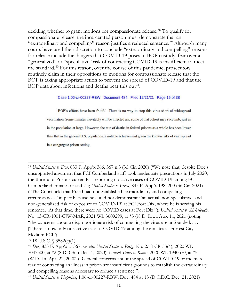deciding whether to grant motions for compassionate release.<sup>[38](#page-10-0)</sup> To qualify for compassionate release, the incarcerated person must demonstrate that an "extraordinary and compelling" reason justifies a reduced sentence.<sup>[39](#page-10-1)</sup> Although many courts have used their discretion to conclude "extraordinary and compelling" reasons for release include the dangers that COVID-19 poses in BOP custody, fear over a "generalized" or "speculative" risk of contracting COVID-19 is insufficient to meet the standard[.40](#page-10-2) For this reason, over the course of this pandemic, prosecutors routinely claim in their oppositions to motions for compassionate release that the BOP is taking appropriate action to prevent the spread of COVID-19 and that the BOP data about infections and deaths bear this out<sup>[41](#page-10-3)</sup>:

Case 1:06-cr-00227-RBW Document 484 Filed 12/21/21 Page 15 of 38

BOP's efforts have been fruitful. There is no way to stop this virus short of widespread vaccination. Some inmates inevitably will be infected and some of that cohort may succumb, just as in the population at large. However, the rate of deaths in federal prisons as a whole has been lower than that in the general U.S. population, a notable achievement given the known risks of viral spread in a congregate prison setting.

<span id="page-10-0"></span><sup>38</sup> *United States v. Doe*, 833 F. App'x 366, 367 n.3 (3d Cir. 2020) ("We note that, despite Doe's unsupported argument that FCI Cumberland staff took inadequate precautions in July 2020, the Bureau of Prisons currently is reporting no active cases of COVID-19 among FCI Cumberland inmates or staff."); *United States v. Freed*, 845 F. App'x 198, 200 (3d Cir. 2021) ("The Court held that Freed had not established 'extraordinary and compelling circumstances,' in part because he could not demonstrate 'an actual, non-speculative, and non-generalized risk of exposure to COVID-19' at FCI Fort Dix, where he is serving his sentence. At that time, there were no COVID cases at Fort Dix."); *United States v. Zirkelbach*, No. 13-CR-1001-CJW-MAR, 2021 WL 3609299, at \*5 (N.D. Iowa Aug. 11, 2021 (noting "the concerns about a disproportionate risk of contracting the virus are unfounded. . . . [T]here is now only one active case of COVID-19 among the inmates at Forrest City Medium FCI").

<span id="page-10-1"></span><sup>39</sup> 18 U.S.C. § 3582(c)(1).

<span id="page-10-2"></span><sup>40</sup> *Doe*, 833 F. App'x at 367; *see also United States v. Pett*y, No. 2:18-CR-53(4), 2020 WL 7047300, at \*2 (S.D. Ohio Dec. 1, 2020); *United States v. Koons*, 2020 WL 1940570, at \*5 (W.D. La. Apr. 21, 2020) ("General concerns about the spread of COVID-19 or the mere fear of contracting an illness in prison are insufficient grounds to establish the extraordinary and compelling reasons necessary to reduce a sentence.")

<span id="page-10-3"></span><sup>41</sup> *United States v. Hopkins*, 1:06-cr-00227-RBW, Doc. 484 at 15 (D.C.D.C. Dec. 21, 2021)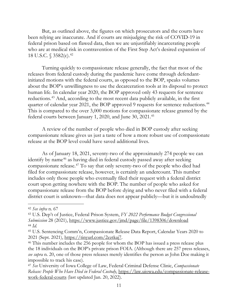But, as outlined above, the figures on which prosecutors and the courts have been relying are inaccurate. And if courts are misjudging the risk of COVID-19 in federal prison based on flawed data, then we are unjustifiably incarcerating people who are at medical risk in contravention of the First Step Act's desired expansion of 18 U.S.C. § 3582(c).<sup>[42](#page-11-0)</sup>

Turning quickly to compassionate release generally, the fact that most of the releases from federal custody during the pandemic have come through defendantinitiated motions with the federal courts, as opposed to the BOP, speaks volumes about the BOP's unwillingness to use the decarceration tools at its disposal to protect human life. In calendar year 2020, the BOP approved only 43 requests for sentence reductions.<sup>[43](#page-11-1)</sup> And, according to the most recent data publicly available, in the first quarter of calendar year 2021, the BOP approved 9 requests for sentence reductions.<sup>[44](#page-11-2)</sup> This is compared to the over 3,000 motions for compassionate release granted by the federal courts between January 1, 2020, and June 30, 2021. [45](#page-11-3)

A review of the number of people who died in BOP custody after seeking compassionate release gives us just a taste of how a more robust use of compassionate release at the BOP level could have saved additional lives.

As of January 18, 2021, seventy-two of the approximately 274 people we can identify by name<sup>[46](#page-11-4)</sup> as having died in federal custody passed away after seeking compassionate release. [47](#page-11-5) To say that only seventy-two of the people who died had filed for compassionate release, however, is certainly an undercount. This number includes only those people who eventually filed their request with a federal district court upon getting nowhere with the BOP. The number of people who asked for compassionate release from the BOP before dying and who never filed with a federal district court is unknown—that data does not appear publicly—but it is undoubtedly

<span id="page-11-0"></span><sup>42</sup> *See infra* n. 67

<span id="page-11-1"></span><sup>43</sup> U.S. Dep't of Justice, Federal Prison System, *FY 2022 Performance Budget Congressional Submission* 28 (2021),<https://www.justice.gov/jmd/page/file/1398306/download> <sup>44</sup> *Id.*

<span id="page-11-3"></span><span id="page-11-2"></span><sup>45</sup> U.S. Sentencing Comm'n, Compassionate Release Data Report, Calendar Years 2020 to 2021 (Sept. 2021), [https://tinyurl.com/2eztkaj7.](https://tinyurl.com/2eztkaj7)

<span id="page-11-4"></span><sup>46</sup> This number includes the 256 people for whom the BOP has issued a press release plus the 18 individuals on the BOP's private prison FOIA. (Although there are 257 press releases, *see supra* n. 20, one of those press releases merely identifies the person as John Doe making it impossible to track his case).

<span id="page-11-5"></span><sup>47</sup> *See* University of Iowa College of Law, Federal Criminal Defense Clinic, *Compassionate Release: People Who Have Died in Federal Custody*, [https://law.uiowa.edu/compassionate-release](https://law.uiowa.edu/compassionate-release-work-federal-courts)[work-federal-courts](https://law.uiowa.edu/compassionate-release-work-federal-courts) (last updated Jan. 20, 2022).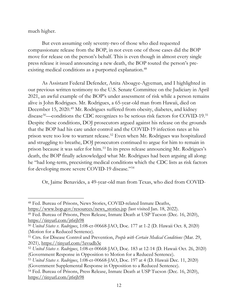much higher.

But even assuming only seventy-two of those who died requested compassionate release from the BOP, in not even one of those cases did the BOP move for release on the person's behalf. This is even though in almost every single press release it issued announcing a new death, the BOP touted the person's preexisting medical conditions as a purported explanation. [48](#page-12-0)

As Assistant Federal Defender, Anita Aboagye-Agyeman, and I highlighted in our previous written testimony to the U.S. Senate Committee on the Judiciary in April 2021, an awful example of the BOP's under assessment of risk while a person remains alive is John Rodrigues. Mr. Rodrigues, a 65-year-old man from Hawaii, died on December 15, 2020. [49](#page-12-1) Mr. Rodrigues suffered from obesity, diabetes, and kidney disease<sup>[50](#page-12-2)</sup>—conditions the CDC recognizes to be serious risk factors for COVID-19.<sup>[51](#page-12-3)</sup> Despite these conditions, DOJ prosecutors argued against his release on the grounds that the BOP had his care under control and the COVID-19 infection rates at his prison were too low to warrant release.[52](#page-12-4) Even when Mr. Rodrigues was hospitalized and struggling to breathe, DOJ prosecutors continued to argue for him to remain in prison because it was safer for him. [53](#page-12-5) In its press release announcing Mr. Rodrigues's death, the BOP finally acknowledged what Mr. Rodrigues had been arguing all along: he "had long-term, preexisting medical conditions which the CDC lists as risk factors for developing more severe COVID-19 disease."[54](#page-12-6)

Or, Jaime Benavides, a 49-year-old man from Texas, who died from COVID-

<span id="page-12-0"></span><sup>48</sup> Fed. Bureau of Prisons, News Stories, COVID-related Inmate Deaths,

[https://www.bop.gov/resources/news\\_stories.jsp](https://www.bop.gov/resources/news_stories.jsp) (last visited Jan. 18, 2022).

<span id="page-12-1"></span><sup>49</sup> Fed. Bureau of Prisons, Press Release, Inmate Death at USP Tucson (Dec. 16, 2020), <https://tinyurl.com/jt6rjh98>

<span id="page-12-2"></span><sup>50</sup> *United States v. Rodrigues*, 1:08-cr-00668-JAO, Doc. 177 at 1-2 (D. Hawaii Oct. 8, 2020) (Motion for a Reduced Sentence).

<span id="page-12-3"></span><sup>51</sup> Ctrs. for Disease Control and Prevention, *People with Certain Medical Conditions* (Mar. 29, 2021),<https://tinyurl.com/5zvudb3e>

<span id="page-12-4"></span><sup>52</sup> *United States v. Rodrigues*, 1:08-cr-00668-JAO, Doc. 183 at 12-14 (D. Hawaii Oct. 26, 2020) (Government Response in Opposition to Motion for a Reduced Sentence).

<span id="page-12-5"></span><sup>53</sup> *United States v. Rodrigues*, 1:08-cr-00668-JAO, Doc. 197 at 4 (D. Hawaii Dec. 11, 2020) (Government Supplemental Response in Opposition to a Reduced Sentence).

<span id="page-12-6"></span><sup>54</sup> Fed. Bureau of Prisons, Press Release, Inmate Death at USP Tucson (Dec. 16, 2020), <https://tinyurl.com/jt6rjh98>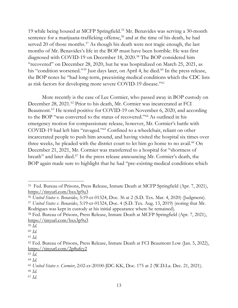19 while being housed at MCFP Springfield.[55](#page-13-0) Mr. Benavides was serving a 30-month sentence for a marijuana-trafficking offense,<sup>[56](#page-13-1)</sup> and at the time of his death, he had served 20 of those months.<sup>[57](#page-13-2)</sup> As though his death were not tragic enough, the last months of Mr. Benavides's life in the BOP must have been horrible. He was first diagnosed with COVID-19 on December 18, 2020. [58](#page-13-3) The BOP considered him "recovered" on December 28, 2020, but he was hospitalized on March 25, 2021, as his "condition worsened."<sup>[59](#page-13-4)</sup> Just days later, on April 4, he died.<sup>[60](#page-13-5)</sup> In the press release, the BOP notes he "had long-term, preexisting medical conditions which the CDC lists as risk factors for developing more severe COVID-19 disease."[61](#page-13-6)

More recently is the case of Lee Cormier, who passed away in BOP custody on December 28, 2021.<sup>[62](#page-13-7)</sup> Prior to his death, Mr. Cormier was incarcerated at FCI Beaumont.<sup>[63](#page-13-8)</sup> He tested positive for COVID-19 on November 6, 2020, and according to the BOP "was converted to the status of recovered."[64](#page-13-9) As outlined in his emergency motion for compassionate release, however, Mr. Cormier's battle with COVID-19 had left him "ravaged."[65](#page-13-10) Confined to a wheelchair, reliant on other incarcerated people to push him around, and having visited the hospital six times over three weeks, he pleaded with the district court to let him go home to no avail.<sup>[66](#page-13-11)</sup> On December 21, 2021, Mr. Cormier was transferred to a hospital for "shortness of breath" and later died.[67](#page-13-12) In the press release announcing Mr. Cormier's death, the BOP again made sure to highlight that he had "pre-existing medical conditions which

<span id="page-13-0"></span><sup>55</sup> Fed. Bureau of Prisons, Press Release, Inmate Death at MCFP Springfield (Apr. 7, 2021), <https://tinyurl.com/bxx3p9u3>

<span id="page-13-1"></span><sup>56</sup> *United States v. Benavides*, 5:19-cr-01324, Doc. 36 at 2 (S.D. Tex. Mar. 4, 2020) (Judgment).

<span id="page-13-2"></span><sup>57</sup> *United States v. Benavides*, 5:19-cr-01324, Doc. 4 (S.D. Tex. Aug. 13, 2019) (noting that Mr. Rodrigues was kept in custody at his initial appearance where he remained).

<span id="page-13-3"></span><sup>58</sup> Fed. Bureau of Prisons, Press Release, Inmate Death at MCFP Springfield (Apr. 7, 2021), <https://tinyurl.com/bxx3p9u3>

<span id="page-13-4"></span><sup>59</sup> *Id.*

<span id="page-13-5"></span><sup>60</sup> *Id.*

<span id="page-13-6"></span><sup>61</sup> *Id.*

<span id="page-13-7"></span><sup>62</sup> Fed. Bureau of Prisons, Press Release, Inmate Death at FCI Beaumont Low (Jan. 5, 2022), <https://tinyurl.com/2p8ufcy2>

<span id="page-13-8"></span><sup>63</sup> *Id.*

<span id="page-13-9"></span><sup>64</sup> *Id.*

<span id="page-13-10"></span><sup>65</sup> *United States v. Cormier*, 2:02-cr-20100-JDC-KK, Doc. 175 at 2 (W.D.La. Dec. 21, 2021).

<span id="page-13-11"></span><sup>66</sup> *Id.*

<span id="page-13-12"></span><sup>67</sup> *Id.*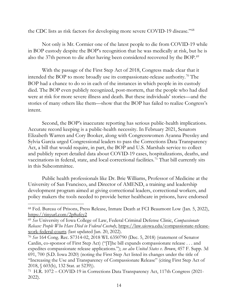the CDC lists as risk factors for developing more severe COVID-19 disease."[68](#page-14-0)

Not only is Mr. Cormier one of the latest people to die from COVID-19 while in BOP custody despite the BOP's recognition that he was medically at risk, but he is also the 37th person to die after having been considered recovered by the BOP. [69](#page-14-1)

With the passage of the First Step Act of 2018, Congress made clear that it intended the BOP to more broadly use its compassionate-release authority.<sup>[70](#page-14-2)</sup> The BOP had a chance to do so in each of the instances in which people in its custody died. The BOP even publicly recognized, post-mortem, that the people who had died were at risk for more severe illness and death. But these individuals' stories—and the stories of many others like them—show that the BOP has failed to realize Congress's intent.

Second, the BOP's inaccurate reporting has serious public-health implications. Accurate record keeping is a public-health necessity. In February 2021, Senators Elizabeth Warren and Cory Booker, along with Congresswomen Ayanna Pressley and Sylvia Garcia urged Congressional leaders to pass the Corrections Data Transparency Act, a bill that would require, in part, the BOP and U.S. Marshals service to collect and publicly report detailed data about COVID-19 cases, hospitalizations, deaths, and vaccinations in federal, state, and local correctional facilities.<sup>[71](#page-14-3)</sup> That bill currently sits in this Subcommittee.

Public health professionals like Dr. Brie Williams, Professor of Medicine at the University of San Francisco, and Director of AMEND, a training and leadership development program aimed at giving correctional leaders, correctional workers, and policy makers the tools needed to provide better healthcare in prisons, have endorsed

<span id="page-14-0"></span><sup>68</sup> Fed. Bureau of Prisons, Press Release, Inmate Death at FCI Beaumont Low (Jan. 5, 2022), <https://tinyurl.com/2p8ufcy2>

<span id="page-14-1"></span><sup>69</sup> *See* University of Iowa College of Law, Federal Criminal Defense Clinic, *Compassionate Release: People Who Have Died in Federal Custody*, [https://law.uiowa.edu/compassionate-release](https://law.uiowa.edu/compassionate-release-work-federal-courts)[work-federal-courts](https://law.uiowa.edu/compassionate-release-work-federal-courts) (last updated Jan. 20, 2022).

<span id="page-14-2"></span><sup>70</sup> *See* 164 Cong. Rec. S7314-02, 2018 WL 6350790 (Dec. 5, 2018) (statement of Senator Cardin, co-sponsor of First Step Act) ("[T]he bill expands compassionate release . . . and expedites compassionate release applications."); *see also United States v. Brown*, 457 F. Supp. 3d 691, 700 (S.D. Iowa 2020) (noting the First Step Act listed its changes under the title of "Increasing the Use and Transparency of Compassionate Release" (citing First Step Act of 2018, § 603(b), 132 Stat. at 5239)).

<span id="page-14-3"></span><sup>71</sup> H.R. 1072 – COVID-19 in Corrections Data Transparency Act, 117th Congress (2021- 2022).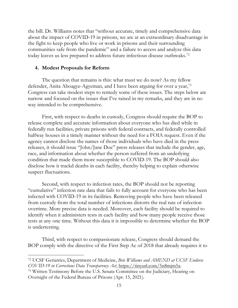the bill. Dr. Williams notes that "without accurate, timely and comprehensive data about the impact of COVID-19 in prisons, we are at an extraordinary disadvantage in the fight to keep people who live or work in prisons and their surrounding communities safe from the pandemic" and a failure to access and analyze this data today leaves us less prepared to address future infectious disease outbreaks.<sup>[72](#page-15-0)</sup>

## **4. Modest Proposals for Reform**

The question that remains is this: what must we do now? As my fellow defender, Anita Aboagye-Agyeman, and I have been arguing for over a year,<sup>[73](#page-15-1)</sup> Congress can take modest steps to remedy some of these issues. The steps below are narrow and focused on the issues that I've raised in my remarks, and they are in no way intended to be comprehensive.

First, with respect to deaths in custody, Congress should require the BOP to release complete and accurate information about everyone who has died while in federally run facilities, private prisons with federal contracts, and federally controlled halfway houses in a timely manner without the need for a FOIA request. Even if the agency cannot disclose the names of those individuals who have died in the press releases, it should issue "John/Jane Doe" press releases that include the gender, age, race, and information about whether the person suffered from an underlying condition that made them more susceptible to COVID-19. The BOP should also disclose how it trackd deaths in each facility, thereby helping to explain otherwise suspect fluctuations.

Second, with respect to infection rates, the BOP should not be reporting "cumulative" infection rate data that fails to fully account for everyone who has been infected with COVID-19 in its facilities. Removing people who have been released from custody from the total number of infections distorts the real rate of infection overtime. More precise data is needed. Moreover, each facility should be required to identify when it administers tests in each facility and how many people receive those tests at any one time. Without this data it is impossible to determine whether the BOP is undertesting.

Third, with respect to compassionate release, Congress should demand the BOP comply with the directive of the First Step Ac of 2018 that already requires it to

<span id="page-15-0"></span><sup>72</sup> UCSF Geriatrics, Department of Medicine, *Brie Williams and AMEND at UCSF Endorse COVID-19 in Corrections Data Transparency Act*, [https://tinyurl.com/5n8mjm5a.](https://tinyurl.com/5n8mjm5a)

<span id="page-15-1"></span><sup>73</sup> Written Testimony Before the U.S. Senate Committee on the Judiciary, Hearing on Oversight of the Federal Bureau of Prisons (Apr. 15, 2021).